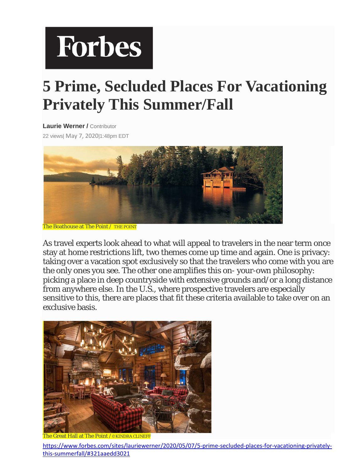## **Forbes**

## **5 Prime, Secluded Places For Vacationing Privately This Summer/Fall**

**[Laurie Werner](https://www.forbes.com/sites/lauriewerner/) / Contributor** 22 views| May 7, 2020|1:48pm EDT



The Boathouse at The Point / THE POINT

As travel experts look ahead to what will appeal to travelers in the near term once stay at home restrictions lift, two themes come up time and again. One is privacy: taking over a vacation spot exclusively so that the travelers who come with you are the only ones you see. The other one amplifies this on- your-own philosophy: picking a place in deep countryside with extensive grounds and/or a long distance from anywhere else. In the U.S., where prospective travelers are especially sensitive to this, there are places that fit these criteria available to take over on an exclusive basis.



The Great Hall at The Point /©KINDRA CLINEFF

[https://www.forbes.com/sites/lauriewerner/2020/05/07/5-prime-secluded-places-for-vacationing-privately](https://www.forbes.com/sites/lauriewerner/2020/05/07/5-prime-secluded-places-for-vacationing-privately-this-summerfall/#321aaedd3021)[this-summerfall/#321aaedd3021](https://www.forbes.com/sites/lauriewerner/2020/05/07/5-prime-secluded-places-for-vacationing-privately-this-summerfall/#321aaedd3021)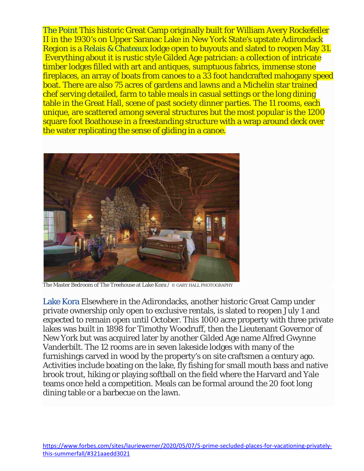[The Point](https://thepointresort.com/) This historic Great Camp originally built for William Avery Rockefeller II in the 1930's on Upper Saranac Lake in New York State's upstate Adirondack Region is a [Relais & Chateaux](https://www.relaischateaux.com/us/) lodge open to buyouts and slated to reopen May 31. Everything about it is rustic style Gilded Age patrician: a collection of intricate timber lodges filled with art and antiques, sumptuous fabrics, immense stone fireplaces, an array of boats from canoes to a 33 foot handcrafted mahogany speed boat. There are also 75 acres of gardens and lawns and a Michelin star trained chef serving detailed, farm to table meals in casual settings or the long dining table in the Great Hall, scene of past society dinner parties. The 11 rooms, each unique, are scattered among several structures but the most popular is the 1200 square foot Boathouse in a freestanding structure with a wrap around deck over the water replicating the sense of gliding in a canoe.



The Master Bedroom of The Treehouse at Lake Kora / © GARY HALL PHOTOGRAPHY

[Lake Kora](https://www.lakekora.com/) Elsewhere in the Adirondacks, another historic Great Camp under private ownership only open to exclusive rentals, is slated to reopen July 1 and expected to remain open until October. This 1000 acre property with three private lakes was built in 1898 for Timothy Woodruff, then the Lieutenant Governor of New York but was acquired later by another Gilded Age name Alfred Gwynne Vanderbilt. The 12 rooms are in seven lakeside lodges with many of the furnishings carved in wood by the property's on site craftsmen a century ago. Activities include boating on the lake, fly fishing for small mouth bass and native brook trout, hiking or playing softball on the field where the Harvard and Yale teams once held a competition. Meals can be formal around the 20 foot long dining table or a barbecue on the lawn.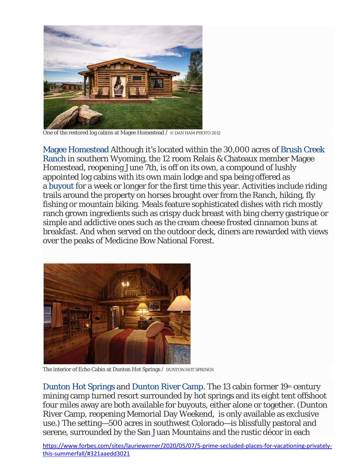

One of the restored log cabins at Magee Homestead / © DAN HAM PHOTO 2012

[Magee Homestead](https://www.brushcreekranch.com/magee) Although it's located within the 30,000 acres of [Brush Creek](https://www.brushcreekranch.com/)  [Ranch](https://www.brushcreekranch.com/) in southern Wyoming, the 12 room Relais & Chateaux member Magee Homestead, reopening June 7th, is off on its own, a compound of lushly appointed log cabins with its own main lodge and spa being offered as a [buyout](https://www.brushcreekranch.com/offer/private-ranch) for a week or longer for the first time this year. Activities include riding trails around the property on horses brought over from the Ranch, hiking, fly fishing or mountain biking. Meals feature sophisticated dishes with rich mostly ranch grown ingredients such as crispy duck breast with bing cherry gastrique or simple and addictive ones such as the cream cheese frosted cinnamon buns at breakfast. And when served on the outdoor deck, diners are rewarded with views over the peaks of Medicine Bow National Forest.



The interior of Echo Cabin at Dunton Hot Springs / DUNTON HOT SPRINGS

[Dunton Hot Springs](https://www.duntondestinations.com/hot-springs/) and [Dunton River Camp.](https://www.duntondestinations.com/river-camp/) The 13 cabin former 19th century mining camp turned resort surrounded by hot springs and its eight tent offshoot four miles away are both available for buyouts, either alone or together. (Dunton River Camp, reopening Memorial Day Weekend, is only available as exclusive use.) The setting—500 acres in southwest Colorado—is blissfully pastoral and serene, surrounded by the San Juan Mountains and the rustic décor in each

[https://www.forbes.com/sites/lauriewerner/2020/05/07/5-prime-secluded-places-for-vacationing-privately](https://www.forbes.com/sites/lauriewerner/2020/05/07/5-prime-secluded-places-for-vacationing-privately-this-summerfall/#321aaedd3021)[this-summerfall/#321aaedd3021](https://www.forbes.com/sites/lauriewerner/2020/05/07/5-prime-secluded-places-for-vacationing-privately-this-summerfall/#321aaedd3021)